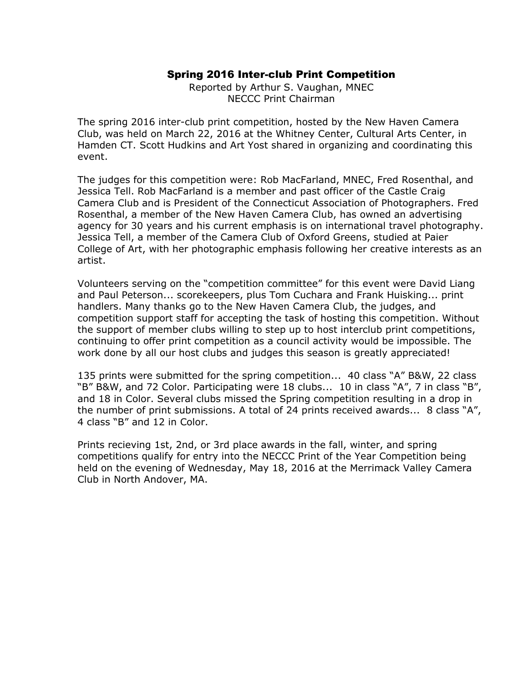#### Spring 2016 Inter-club Print Competition

Reported by Arthur S. Vaughan, MNEC NECCC Print Chairman

The spring 2016 inter-club print competition, hosted by the New Haven Camera Club, was held on March 22, 2016 at the Whitney Center, Cultural Arts Center, in Hamden CT. Scott Hudkins and Art Yost shared in organizing and coordinating this event.

The judges for this competition were: Rob MacFarland, MNEC, Fred Rosenthal, and Jessica Tell. Rob MacFarland is a member and past officer of the Castle Craig Camera Club and is President of the Connecticut Association of Photographers. Fred Rosenthal, a member of the New Haven Camera Club, has owned an advertising agency for 30 years and his current emphasis is on international travel photography. Jessica Tell, a member of the Camera Club of Oxford Greens, studied at Paier College of Art, with her photographic emphasis following her creative interests as an artist.

Volunteers serving on the "competition committee" for this event were David Liang and Paul Peterson... scorekeepers, plus Tom Cuchara and Frank Huisking... print handlers. Many thanks go to the New Haven Camera Club, the judges, and competition support staff for accepting the task of hosting this competition. Without the support of member clubs willing to step up to host interclub print competitions, continuing to offer print competition as a council activity would be impossible. The work done by all our host clubs and judges this season is greatly appreciated!

135 prints were submitted for the spring competition... 40 class "A" B&W, 22 class "B" B&W, and 72 Color. Participating were 18 clubs... 10 in class "A", 7 in class "B", and 18 in Color. Several clubs missed the Spring competition resulting in a drop in the number of print submissions. A total of 24 prints received awards... 8 class "A", 4 class "B" and 12 in Color.

Prints recieving 1st, 2nd, or 3rd place awards in the fall, winter, and spring competitions qualify for entry into the NECCC Print of the Year Competition being held on the evening of Wednesday, May 18, 2016 at the Merrimack Valley Camera Club in North Andover, MA.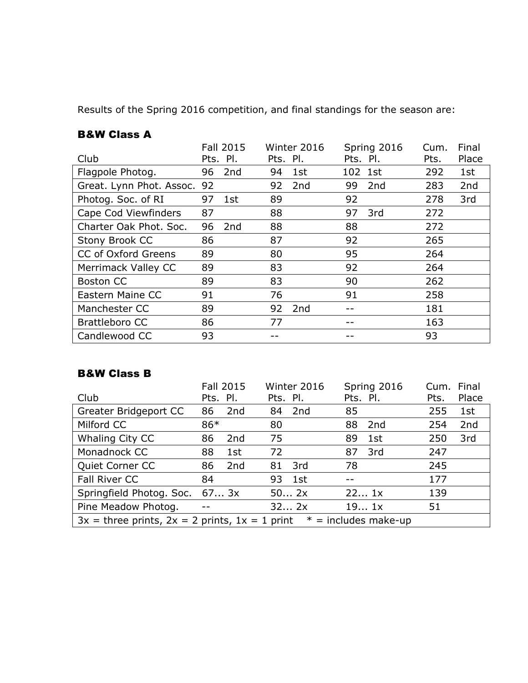Results of the Spring 2016 competition, and final standings for the season are:

#### B&W Class A

|                          |    | <b>Fall 2015</b> |          | Winter 2016     |          | Spring 2016     | Cum. | Final |
|--------------------------|----|------------------|----------|-----------------|----------|-----------------|------|-------|
| Club                     |    | Pts. Pl.         | Pts. Pl. |                 | Pts. Pl. |                 | Pts. | Place |
| Flagpole Photog.         | 96 | 2nd              | 94       | 1st             | 102      | 1st             | 292  | 1st   |
| Great. Lynn Phot. Assoc. | 92 |                  | 92       | 2 <sub>nd</sub> | 99       | 2 <sub>nd</sub> | 283  | 2nd   |
| Photog. Soc. of RI       | 97 | 1st              | 89       |                 | 92       |                 | 278  | 3rd   |
| Cape Cod Viewfinders     | 87 |                  | 88       |                 | 97       | 3rd             | 272  |       |
| Charter Oak Phot. Soc.   | 96 | 2nd              | 88       |                 | 88       |                 | 272  |       |
| Stony Brook CC           | 86 |                  | 87       |                 | 92       |                 | 265  |       |
| CC of Oxford Greens      | 89 |                  | 80       |                 | 95       |                 | 264  |       |
| Merrimack Valley CC      | 89 |                  | 83       |                 | 92       |                 | 264  |       |
| <b>Boston CC</b>         | 89 |                  | 83       |                 | 90       |                 | 262  |       |
| Eastern Maine CC         | 91 |                  | 76       |                 | 91       |                 | 258  |       |
| Manchester CC            | 89 |                  | 92       | 2nd             |          |                 | 181  |       |
| <b>Brattleboro CC</b>    | 86 |                  | 77       |                 |          |                 | 163  |       |
| Candlewood CC            | 93 |                  |          |                 |          |                 | 93   |       |

# B&W Class B

|                                                                                | <b>Fall 2015</b>  | Winter 2016 | Spring 2016 | Cum. | Final |
|--------------------------------------------------------------------------------|-------------------|-------------|-------------|------|-------|
| Club                                                                           | Pts. Pl.          | Pts. Pl.    | Pts. Pl.    | Pts. | Place |
| Greater Bridgeport CC                                                          | 2nd<br>86         | 2nd<br>84   | 85          | 255  | 1st   |
| Milford CC                                                                     | 86*               | 80          | 88<br>2nd   | 254  | 2nd   |
| Whaling City CC                                                                | 86<br>2nd         | 75          | 89<br>1st   | 250  | 3rd   |
| Monadnock CC                                                                   | 88<br>1st         | 72          | 3rd<br>87   | 247  |       |
| Quiet Corner CC                                                                | 2nd<br>86         | 3rd<br>81   | 78          | 245  |       |
| Fall River CC                                                                  | 84                | 1st<br>93   |             | 177  |       |
| Springfield Photog. Soc. 67 3x                                                 |                   | 502x        | 221x        | 139  |       |
| Pine Meadow Photog.                                                            | $\qquad \qquad -$ | 322x        | 191x        | 51   |       |
| $3x =$ three prints, $2x = 2$ prints, $1x = 1$ print<br>$* =$ includes make-up |                   |             |             |      |       |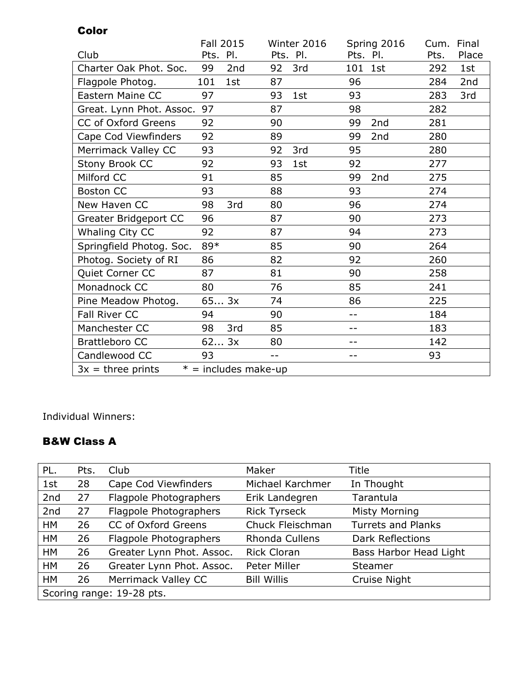|                          | <b>Fall 2015</b>       | Winter 2016 | Spring 2016           | Final<br>Cum. |
|--------------------------|------------------------|-------------|-----------------------|---------------|
| Club                     | PI.<br>Pts.            | Pts. Pl.    | Pts. Pl.              | Pts.<br>Place |
| Charter Oak Phot. Soc.   | 99<br>2 <sub>nd</sub>  | 3rd<br>92   | 1st<br>101            | 292<br>1st    |
| Flagpole Photog.         | 101<br>1st             | 87          | 96                    | 284<br>2nd    |
| Eastern Maine CC         | 97                     | 93<br>1st   | 93                    | 283<br>3rd    |
| Great. Lynn Phot. Assoc. | 97                     | 87          | 98                    | 282           |
| CC of Oxford Greens      | 92                     | 90          | 2nd<br>99             | 281           |
| Cape Cod Viewfinders     | 92                     | 89          | 99<br>2 <sub>nd</sub> | 280           |
| Merrimack Valley CC      | 93                     | 3rd<br>92   | 95                    | 280           |
| Stony Brook CC           | 92                     | 93<br>1st   | 92                    | 277           |
| Milford CC               | 91                     | 85          | 2nd<br>99             | 275           |
| <b>Boston CC</b>         | 93                     | 88          | 93                    | 274           |
| New Haven CC             | 3rd<br>98              | 80          | 96                    | 274           |
| Greater Bridgeport CC    | 96                     | 87          | 90                    | 273           |
| Whaling City CC          | 92                     | 87          | 94                    | 273           |
| Springfield Photog. Soc. | 89*                    | 85          | 90                    | 264           |
| Photog. Society of RI    | 86                     | 82          | 92                    | 260           |
| Quiet Corner CC          | 87                     | 81          | 90                    | 258           |
| Monadnock CC             | 80                     | 76          | 85                    | 241           |
| Pine Meadow Photog.      | 653x                   | 74          | 86                    | 225           |
| <b>Fall River CC</b>     | 94                     | 90          | $-1$                  | 184           |
| Manchester CC            | 3rd<br>98              | 85          | $-1$                  | 183           |
| <b>Brattleboro CC</b>    | 623x                   | 80          |                       | 142           |
| Candlewood CC            | 93                     | $- -$       | $-$                   | 93            |
| $3x =$ three prints      | $* =$ includes make-up |             |                       |               |

Individual Winners:

Color

## B&W Class A

| PL.                       | Pts. | Club                      | Maker                 | Title                     |
|---------------------------|------|---------------------------|-----------------------|---------------------------|
| 1st                       | 28   | Cape Cod Viewfinders      | Michael Karchmer      | In Thought                |
| 2nd                       | 27   | Flagpole Photographers    | Erik Landegren        | Tarantula                 |
| 2nd                       | 27   | Flagpole Photographers    | <b>Rick Tyrseck</b>   | <b>Misty Morning</b>      |
| <b>HM</b>                 | 26   | CC of Oxford Greens       | Chuck Fleischman      | <b>Turrets and Planks</b> |
| <b>HM</b>                 | 26   | Flagpole Photographers    | <b>Rhonda Cullens</b> | <b>Dark Reflections</b>   |
| HM                        | 26   | Greater Lynn Phot. Assoc. | <b>Rick Cloran</b>    | Bass Harbor Head Light    |
| <b>HM</b>                 | 26   | Greater Lynn Phot. Assoc. | Peter Miller          | Steamer                   |
| HM                        | 26   | Merrimack Valley CC       | <b>Bill Willis</b>    | <b>Cruise Night</b>       |
| Scoring range: 19-28 pts. |      |                           |                       |                           |